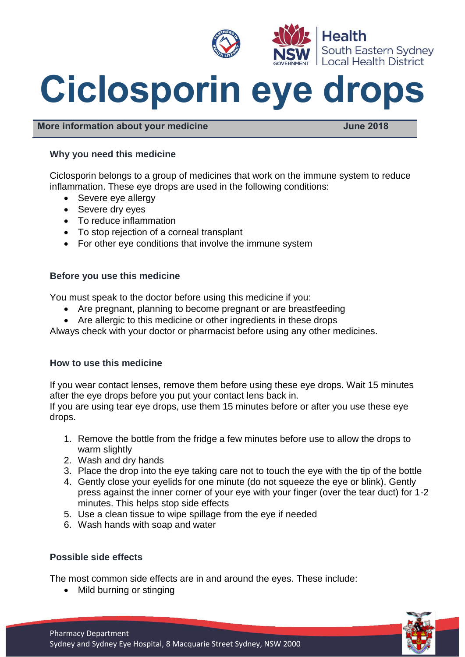

# **Ciclosporin eye drops**

**More information about your medicine** All and the United States of the June 2018

# **Why you need this medicine**

Ciclosporin belongs to a group of medicines that work on the immune system to reduce inflammation. These eye drops are used in the following conditions:

- Severe eye allergy
- Severe dry eyes
- To reduce inflammation
- To stop rejection of a corneal transplant
- For other eye conditions that involve the immune system

## **Before you use this medicine**

You must speak to the doctor before using this medicine if you:

- Are pregnant, planning to become pregnant or are breastfeeding
- Are allergic to this medicine or other ingredients in these drops

Always check with your doctor or pharmacist before using any other medicines.

## **How to use this medicine**

If you wear contact lenses, remove them before using these eye drops. Wait 15 minutes after the eye drops before you put your contact lens back in. If you are using tear eye drops, use them 15 minutes before or after you use these eye drops.

- 1. Remove the bottle from the fridge a few minutes before use to allow the drops to warm slightly
- 2. Wash and dry hands
- 3. Place the drop into the eye taking care not to touch the eye with the tip of the bottle
- 4. Gently close your eyelids for one minute (do not squeeze the eye or blink). Gently press against the inner corner of your eye with your finger (over the tear duct) for 1-2 minutes. This helps stop side effects
- 5. Use a clean tissue to wipe spillage from the eye if needed
- 6. Wash hands with soap and water

# **Possible side effects**

The most common side effects are in and around the eyes. These include:

• Mild burning or stinging